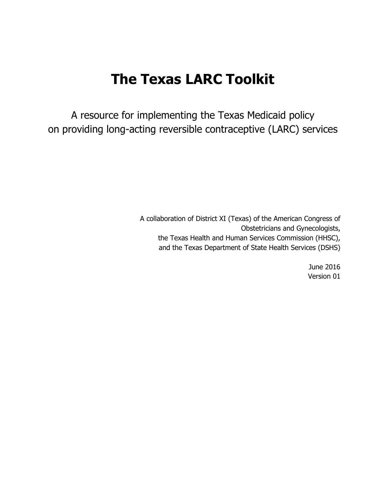# **The Texas LARC Toolkit**

A resource for implementing the Texas Medicaid policy on providing long-acting reversible contraceptive (LARC) services

> A collaboration of District XI (Texas) of the American Congress of Obstetricians and Gynecologists, the Texas Health and Human Services Commission (HHSC), and the Texas Department of State Health Services (DSHS)

> > June 2016 Version 01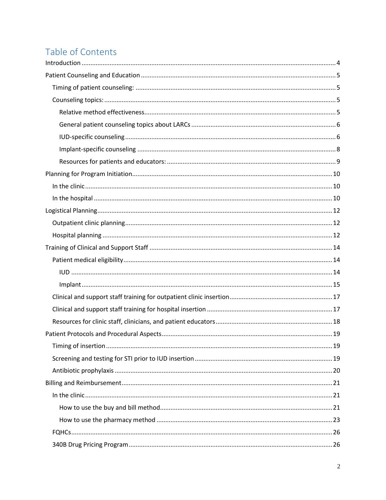## Table of Contents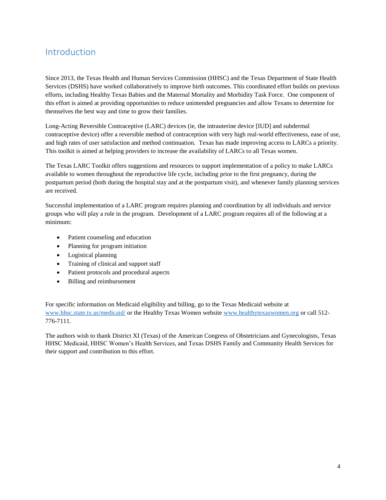## <span id="page-3-0"></span>Introduction

Since 2013, the Texas Health and Human Services Commission (HHSC) and the Texas Department of State Health Services (DSHS) have worked collaboratively to improve birth outcomes. This coordinated effort builds on previous efforts, including Healthy Texas Babies and the Maternal Mortality and Morbidity Task Force. One component of this effort is aimed at providing opportunities to reduce unintended pregnancies and allow Texans to determine for themselves the best way and time to grow their families.

Long-Acting Reversible Contraceptive (LARC) devices (ie, the intrauterine device [IUD] and subdermal contraceptive device) offer a reversible method of contraception with very high real-world effectiveness, ease of use, and high rates of user satisfaction and method continuation. Texas has made improving access to LARCs a priority. This toolkit is aimed at helping providers to increase the availability of LARCs to all Texas women.

The Texas LARC Toolkit offers suggestions and resources to support implementation of a policy to make LARCs available to women throughout the reproductive life cycle, including prior to the first pregnancy, during the postpartum period (both during the hospital stay and at the postpartum visit), and whenever family planning services are received.

Successful implementation of a LARC program requires planning and coordination by all individuals and service groups who will play a role in the program. Development of a LARC program requires all of the following at a minimum:

- Patient counseling and education
- Planning for program initiation
- Logistical planning
- Training of clinical and support staff
- Patient protocols and procedural aspects
- Billing and reimbursement

For specific information on Medicaid eligibility and billing, go to the Texas Medicaid website at [www.hhsc.state.tx.us/medicaid/](http://www.hhsc.state.tx.us/medicaid/) or the Healthy Texas Women website [www.healthytexaswomen.org](http://www.healthytexaswomen.org/) or call 512- 776-7111.

The authors wish to thank District XI (Texas) of the American Congress of Obstetricians and Gynecologists, Texas HHSC Medicaid, HHSC Women's Health Services, and Texas DSHS Family and Community Health Services for their support and contribution to this effort.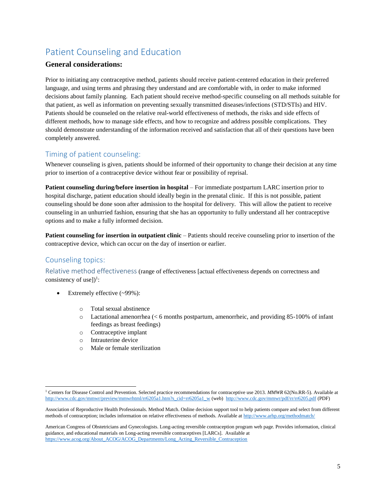## <span id="page-4-0"></span>Patient Counseling and Education

### **General considerations:**

Prior to initiating any contraceptive method, patients should receive patient-centered education in their preferred language, and using terms and phrasing they understand and are comfortable with, in order to make informed decisions about family planning. Each patient should receive method-specific counseling on all methods suitable for that patient, as well as information on preventing sexually transmitted diseases/infections (STD/STIs) and HIV. Patients should be counseled on the relative real-world effectiveness of methods, the risks and side effects of different methods, how to manage side effects, and how to recognize and address possible complications. They should demonstrate understanding of the information received and satisfaction that all of their questions have been completely answered.

## <span id="page-4-1"></span>Timing of patient counseling:

Whenever counseling is given, patients should be informed of their opportunity to change their decision at any time prior to insertion of a contraceptive device without fear or possibility of reprisal.

**Patient counseling during/before insertion in hospital** – For immediate postpartum LARC insertion prior to hospital discharge, patient education should ideally begin in the prenatal clinic. If this is not possible, patient counseling should be done soon after admission to the hospital for delivery. This will allow the patient to receive counseling in an unhurried fashion, ensuring that she has an opportunity to fully understand all her contraceptive options and to make a fully informed decision.

**Patient counseling for insertion in outpatient clinic** – Patients should receive counseling prior to insertion of the contraceptive device, which can occur on the day of insertion or earlier.

## <span id="page-4-2"></span>Counseling topics:

l

<span id="page-4-3"></span>Relative method effectiveness (range of effectiveness [actual effectiveness depends on correctness and consistency of use] $)^{1}$ :

- Extremely effective (~99%):
	- o Total sexual abstinence
	- o Lactational amenorrhea (< 6 months postpartum, amenorrheic, and providing 85-100% of infant feedings as breast feedings)
	- o Contraceptive implant
	- o Intrauterine device
	- o Male or female sterilization

<sup>&</sup>lt;sup>1</sup> Centers for Disease Control and Prevention. Selected practice recommendations for contraceptive use 2013. MMWR 62(No.RR-5). Available at [http://www.cdc.gov/mmwr/preview/mmwrhtml/rr6205a1.htm?s\\_cid=rr6205a1\\_w](http://www.cdc.gov/mmwr/preview/mmwrhtml/rr6205a1.htm?s_cid=rr6205a1_w) (web) <http://www.cdc.gov/mmwr/pdf/rr/rr6205.pdf> (PDF)

Association of Reproductive Health Professionals. Method Match. Online decision support tool to help patients compare and select from different methods of contraception; includes information on relative effectiveness of methods. Available a[t http://www.arhp.org/methodmatch/](http://www.arhp.org/methodmatch/)

American Congress of Obstetricians and Gynecologists. Long-acting reversible contraception program web page. Provides information, clinical guidance, and educational materials on Long-acting reversible contraceptives [LARCs]. Available at [https://www.acog.org/About\\_ACOG/ACOG\\_Departments/Long\\_Acting\\_Reversible\\_Contraception](https://www.acog.org/About_ACOG/ACOG_Departments/Long_Acting_Reversible_Contraception)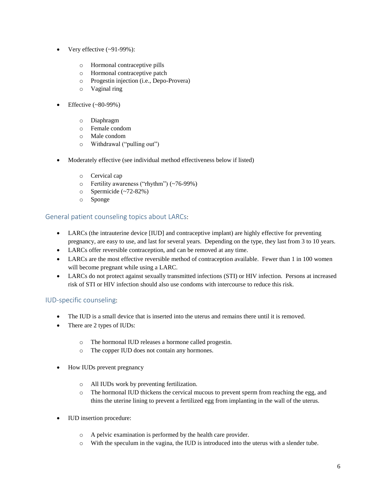- Very effective (~91-99%):
	- o Hormonal contraceptive pills
	- o Hormonal contraceptive patch
	- o Progestin injection (i.e., Depo-Provera)
	- o Vaginal ring
- Effective (~80-99%)
	- o Diaphragm
	- o Female condom
	- o Male condom
	- o Withdrawal ("pulling out")
- Moderately effective (see individual method effectiveness below if listed)
	- o Cervical cap
	- o Fertility awareness ("rhythm") (~76-99%)
	- $\degree$  Spermicide (~72-82%)
	- o Sponge

### <span id="page-5-0"></span>General patient counseling topics about LARCs:

- LARCs (the intrauterine device [IUD] and contraceptive implant) are highly effective for preventing pregnancy, are easy to use, and last for several years. Depending on the type, they last from 3 to 10 years.
- LARCs offer reversible contraception, and can be removed at any time.
- LARCs are the most effective reversible method of contraception available. Fewer than 1 in 100 women will become pregnant while using a LARC.
- LARCs do not protect against sexually transmitted infections (STI) or HIV infection. Persons at increased risk of STI or HIV infection should also use condoms with intercourse to reduce this risk.

### <span id="page-5-1"></span>IUD-specific counseling:

- The IUD is a small device that is inserted into the uterus and remains there until it is removed.
- There are 2 types of IUDs:
	- o The hormonal IUD releases a hormone called progestin.
	- o The copper IUD does not contain any hormones.
- How IUDs prevent pregnancy
	- o All IUDs work by preventing fertilization.
	- o The hormonal IUD thickens the cervical mucous to prevent sperm from reaching the egg, and thins the uterine lining to prevent a fertilized egg from implanting in the wall of the uterus.
- IUD insertion procedure:
	- o A pelvic examination is performed by the health care provider.
	- o With the speculum in the vagina, the IUD is introduced into the uterus with a slender tube.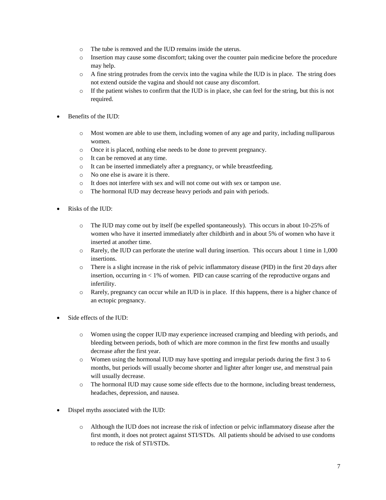- o The tube is removed and the IUD remains inside the uterus.
- o Insertion may cause some discomfort; taking over the counter pain medicine before the procedure may help.
- $\circ$  A fine string protrudes from the cervix into the vagina while the IUD is in place. The string does not extend outside the vagina and should not cause any discomfort.
- $\circ$  If the patient wishes to confirm that the IUD is in place, she can feel for the string, but this is not required.
- Benefits of the IUD:
	- o Most women are able to use them, including women of any age and parity, including nulliparous women.
	- o Once it is placed, nothing else needs to be done to prevent pregnancy.
	- o It can be removed at any time.
	- o It can be inserted immediately after a pregnancy, or while breastfeeding.
	- o No one else is aware it is there.
	- o It does not interfere with sex and will not come out with sex or tampon use.
	- o The hormonal IUD may decrease heavy periods and pain with periods.
- Risks of the IUD:
	- o The IUD may come out by itself (be expelled spontaneously). This occurs in about 10-25% of women who have it inserted immediately after childbirth and in about 5% of women who have it inserted at another time.
	- o Rarely, the IUD can perforate the uterine wall during insertion. This occurs about 1 time in 1,000 insertions.
	- o There is a slight increase in the risk of pelvic inflammatory disease (PID) in the first 20 days after insertion, occurring in  $\lt 1\%$  of women. PID can cause scarring of the reproductive organs and infertility.
	- o Rarely, pregnancy can occur while an IUD is in place. If this happens, there is a higher chance of an ectopic pregnancy.
- Side effects of the IUD:
	- o Women using the copper IUD may experience increased cramping and bleeding with periods, and bleeding between periods, both of which are more common in the first few months and usually decrease after the first year.
	- $\circ$  Women using the hormonal IUD may have spotting and irregular periods during the first 3 to 6 months, but periods will usually become shorter and lighter after longer use, and menstrual pain will usually decrease.
	- o The hormonal IUD may cause some side effects due to the hormone, including breast tenderness, headaches, depression, and nausea.
- Dispel myths associated with the IUD:
	- o Although the IUD does not increase the risk of infection or pelvic inflammatory disease after the first month, it does not protect against STI/STDs. All patients should be advised to use condoms to reduce the risk of STI/STDs.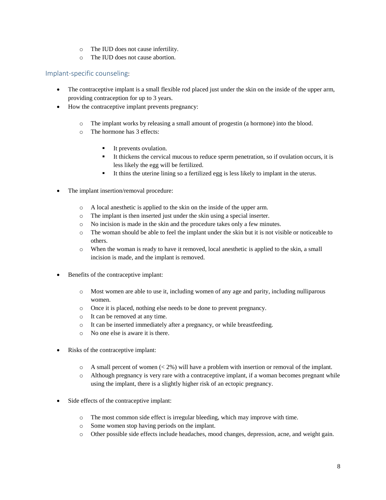- o The IUD does not cause infertility.
- o The IUD does not cause abortion.

### <span id="page-7-0"></span>Implant-specific counseling:

- The contraceptive implant is a small flexible rod placed just under the skin on the inside of the upper arm, providing contraception for up to 3 years.
- How the contraceptive implant prevents pregnancy:
	- o The implant works by releasing a small amount of progestin (a hormone) into the blood.
	- o The hormone has 3 effects:
		- It prevents ovulation.
		- It thickens the cervical mucous to reduce sperm penetration, so if ovulation occurs, it is less likely the egg will be fertilized.
		- It thins the uterine lining so a fertilized egg is less likely to implant in the uterus.
- The implant insertion/removal procedure:
	- o A local anesthetic is applied to the skin on the inside of the upper arm.
	- o The implant is then inserted just under the skin using a special inserter.
	- o No incision is made in the skin and the procedure takes only a few minutes.
	- o The woman should be able to feel the implant under the skin but it is not visible or noticeable to others.
	- o When the woman is ready to have it removed, local anesthetic is applied to the skin, a small incision is made, and the implant is removed.
- Benefits of the contraceptive implant:
	- o Most women are able to use it, including women of any age and parity, including nulliparous women.
	- o Once it is placed, nothing else needs to be done to prevent pregnancy.
	- o It can be removed at any time.
	- o It can be inserted immediately after a pregnancy, or while breastfeeding.
	- o No one else is aware it is there.
- Risks of the contraceptive implant:
	- $\circ$  A small percent of women ( $\lt 2\%$ ) will have a problem with insertion or removal of the implant.
	- o Although pregnancy is very rare with a contraceptive implant, if a woman becomes pregnant while using the implant, there is a slightly higher risk of an ectopic pregnancy.
- Side effects of the contraceptive implant:
	- o The most common side effect is irregular bleeding, which may improve with time.
	- o Some women stop having periods on the implant.
	- o Other possible side effects include headaches, mood changes, depression, acne, and weight gain.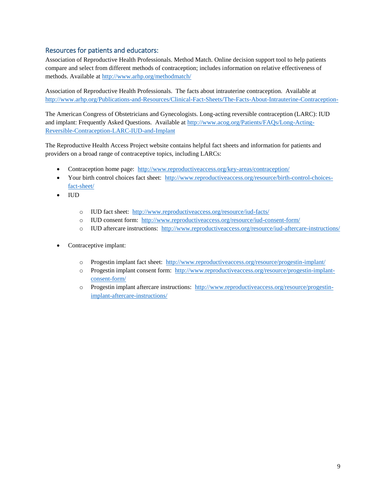### <span id="page-8-0"></span>Resources for patients and educators:

Association of Reproductive Health Professionals. Method Match. Online decision support tool to help patients compare and select from different methods of contraception; includes information on relative effectiveness of methods. Available at<http://www.arhp.org/methodmatch/>

Association of Reproductive Health Professionals. The facts about intrauterine contraception. Available at <http://www.arhp.org/Publications-and-Resources/Clinical-Fact-Sheets/The-Facts-About-Intrauterine-Contraception->

The American Congress of Obstetricians and Gynecologists. Long-acting reversible contraception (LARC): IUD and implant: Frequently Asked Questions. Available at [http://www.acog.org/Patients/FAQs/Long-Acting-](http://www.acog.org/Patients/FAQs/Long-Acting-Reversible-Contraception-LARC-IUD-and-Implant)[Reversible-Contraception-LARC-IUD-and-Implant](http://www.acog.org/Patients/FAQs/Long-Acting-Reversible-Contraception-LARC-IUD-and-Implant)

The Reproductive Health Access Project website contains helpful fact sheets and information for patients and providers on a broad range of contraceptive topics, including LARCs:

- Contraception home page: http://www.reproductiveaccess.org/key-areas/contraception/
- Your birth control choices fact sheet: [http://www.reproductiveaccess.org/resource/birth-control-choices](http://www.reproductiveaccess.org/resource/birth-control-choices-fact-sheet/)[fact-sheet/](http://www.reproductiveaccess.org/resource/birth-control-choices-fact-sheet/)
- IUD
	- o IUD fact sheet: <http://www.reproductiveaccess.org/resource/iud-facts/>
	- o IUD consent form: <http://www.reproductiveaccess.org/resource/iud-consent-form/>
	- o IUD aftercare instructions: <http://www.reproductiveaccess.org/resource/iud-aftercare-instructions/>
- Contraceptive implant:
	- o Progestin implant fact sheet: <http://www.reproductiveaccess.org/resource/progestin-implant/>
	- o Progestin implant consent form: [http://www.reproductiveaccess.org/resource/progestin-implant](http://www.reproductiveaccess.org/resource/progestin-implant-consent-form/)[consent-form/](http://www.reproductiveaccess.org/resource/progestin-implant-consent-form/)
	- o Progestin implant aftercare instructions: [http://www.reproductiveaccess.org/resource/progestin](http://www.reproductiveaccess.org/resource/progestin-implant-aftercare-instructions/)[implant-aftercare-instructions/](http://www.reproductiveaccess.org/resource/progestin-implant-aftercare-instructions/)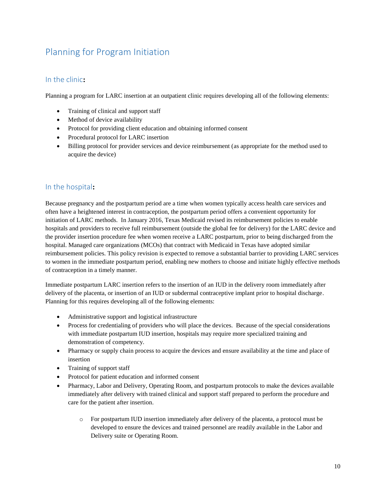## <span id="page-9-0"></span>Planning for Program Initiation

## <span id="page-9-1"></span>In the clinic**:**

Planning a program for LARC insertion at an outpatient clinic requires developing all of the following elements:

- Training of clinical and support staff
- Method of device availability
- Protocol for providing client education and obtaining informed consent
- Procedural protocol for LARC insertion
- Billing protocol for provider services and device reimbursement (as appropriate for the method used to acquire the device)

## <span id="page-9-2"></span>In the hospital**:**

Because pregnancy and the postpartum period are a time when women typically access health care services and often have a heightened interest in contraception, the postpartum period offers a convenient opportunity for initiation of LARC methods. In January 2016, Texas Medicaid revised its reimbursement policies to enable hospitals and providers to receive full reimbursement (outside the global fee for delivery) for the LARC device and the provider insertion procedure fee when women receive a LARC postpartum, prior to being discharged from the hospital. Managed care organizations (MCOs) that contract with Medicaid in Texas have adopted similar reimbursement policies. This policy revision is expected to remove a substantial barrier to providing LARC services to women in the immediate postpartum period, enabling new mothers to choose and initiate highly effective methods of contraception in a timely manner.

Immediate postpartum LARC insertion refers to the insertion of an IUD in the delivery room immediately after delivery of the placenta, or insertion of an IUD or subdermal contraceptive implant prior to hospital discharge. Planning for this requires developing all of the following elements:

- Administrative support and logistical infrastructure
- Process for credentialing of providers who will place the devices. Because of the special considerations with immediate postpartum IUD insertion, hospitals may require more specialized training and demonstration of competency.
- Pharmacy or supply chain process to acquire the devices and ensure availability at the time and place of insertion
- Training of support staff
- Protocol for patient education and informed consent
- Pharmacy, Labor and Delivery, Operating Room, and postpartum protocols to make the devices available immediately after delivery with trained clinical and support staff prepared to perform the procedure and care for the patient after insertion.
	- o For postpartum IUD insertion immediately after delivery of the placenta, a protocol must be developed to ensure the devices and trained personnel are readily available in the Labor and Delivery suite or Operating Room.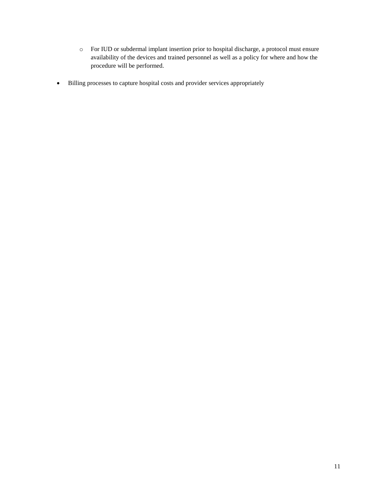- o For IUD or subdermal implant insertion prior to hospital discharge, a protocol must ensure availability of the devices and trained personnel as well as a policy for where and how the procedure will be performed.
- Billing processes to capture hospital costs and provider services appropriately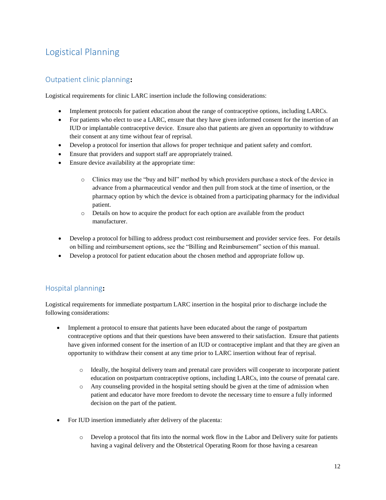## <span id="page-11-0"></span>Logistical Planning

## <span id="page-11-1"></span>Outpatient clinic planning**:**

Logistical requirements for clinic LARC insertion include the following considerations:

- Implement protocols for patient education about the range of contraceptive options, including LARCs.
- For patients who elect to use a LARC, ensure that they have given informed consent for the insertion of an IUD or implantable contraceptive device. Ensure also that patients are given an opportunity to withdraw their consent at any time without fear of reprisal.
- Develop a protocol for insertion that allows for proper technique and patient safety and comfort.
- Ensure that providers and support staff are appropriately trained.
- Ensure device availability at the appropriate time:
	- o Clinics may use the "buy and bill" method by which providers purchase a stock of the device in advance from a pharmaceutical vendor and then pull from stock at the time of insertion, or the pharmacy option by which the device is obtained from a participating pharmacy for the individual patient.
	- o Details on how to acquire the product for each option are available from the product manufacturer.
- Develop a protocol for billing to address product cost reimbursement and provider service fees. For details on billing and reimbursement options, see the "Billing and Reimbursement" section of this manual.
- Develop a protocol for patient education about the chosen method and appropriate follow up.

## <span id="page-11-2"></span>Hospital planning**:**

Logistical requirements for immediate postpartum LARC insertion in the hospital prior to discharge include the following considerations:

- Implement a protocol to ensure that patients have been educated about the range of postpartum contraceptive options and that their questions have been answered to their satisfaction. Ensure that patients have given informed consent for the insertion of an IUD or contraceptive implant and that they are given an opportunity to withdraw their consent at any time prior to LARC insertion without fear of reprisal.
	- o Ideally, the hospital delivery team and prenatal care providers will cooperate to incorporate patient education on postpartum contraceptive options, including LARCs, into the course of prenatal care.
	- $\circ$  Any counseling provided in the hospital setting should be given at the time of admission when patient and educator have more freedom to devote the necessary time to ensure a fully informed decision on the part of the patient.
- For IUD insertion immediately after delivery of the placenta:
	- o Develop a protocol that fits into the normal work flow in the Labor and Delivery suite for patients having a vaginal delivery and the Obstetrical Operating Room for those having a cesarean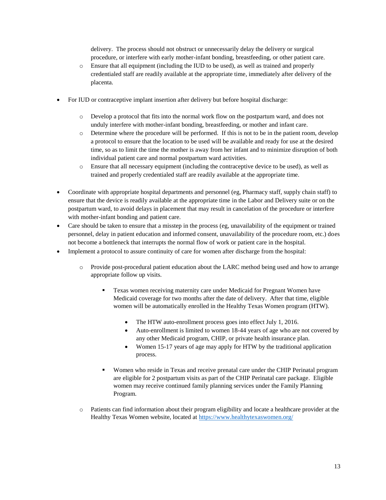delivery. The process should not obstruct or unnecessarily delay the delivery or surgical procedure, or interfere with early mother-infant bonding, breastfeeding, or other patient care.

- o Ensure that all equipment (including the IUD to be used), as well as trained and properly credentialed staff are readily available at the appropriate time, immediately after delivery of the placenta.
- For IUD or contraceptive implant insertion after delivery but before hospital discharge:
	- o Develop a protocol that fits into the normal work flow on the postpartum ward, and does not unduly interfere with mother-infant bonding, breastfeeding, or mother and infant care.
	- o Determine where the procedure will be performed. If this is not to be in the patient room, develop a protocol to ensure that the location to be used will be available and ready for use at the desired time, so as to limit the time the mother is away from her infant and to minimize disruption of both individual patient care and normal postpartum ward activities.
	- o Ensure that all necessary equipment (including the contraceptive device to be used), as well as trained and properly credentialed staff are readily available at the appropriate time.
- Coordinate with appropriate hospital departments and personnel (eg, Pharmacy staff, supply chain staff) to ensure that the device is readily available at the appropriate time in the Labor and Delivery suite or on the postpartum ward, to avoid delays in placement that may result in cancelation of the procedure or interfere with mother-infant bonding and patient care.
- Care should be taken to ensure that a misstep in the process (eg, unavailability of the equipment or trained personnel, delay in patient education and informed consent, unavailability of the procedure room, etc.) does not become a bottleneck that interrupts the normal flow of work or patient care in the hospital.
- Implement a protocol to assure continuity of care for women after discharge from the hospital:
	- o Provide post-procedural patient education about the LARC method being used and how to arrange appropriate follow up visits.
		- Texas women receiving maternity care under Medicaid for Pregnant Women have Medicaid coverage for two months after the date of delivery. After that time, eligible women will be automatically enrolled in the Healthy Texas Women program (HTW).
			- The HTW auto-enrollment process goes into effect July 1, 2016.
			- Auto-enrollment is limited to women 18-44 years of age who are not covered by any other Medicaid program, CHIP, or private health insurance plan.
			- Women 15-17 years of age may apply for HTW by the traditional application process.
		- Women who reside in Texas and receive prenatal care under the CHIP Perinatal program are eligible for 2 postpartum visits as part of the CHIP Perinatal care package. Eligible women may receive continued family planning services under the Family Planning Program.
	- o Patients can find information about their program eligibility and locate a healthcare provider at the Healthy Texas Women website, located at<https://www.healthytexaswomen.org/>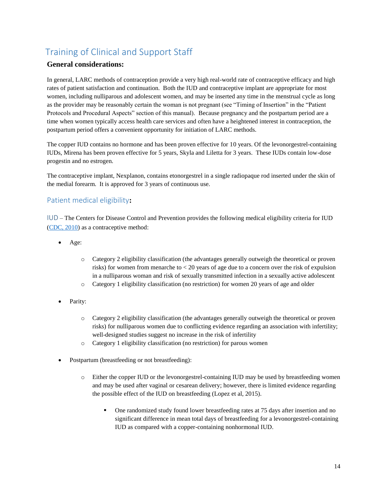## <span id="page-13-0"></span>Training of Clinical and Support Staff

## **General considerations:**

In general, LARC methods of contraception provide a very high real-world rate of contraceptive efficacy and high rates of patient satisfaction and continuation. Both the IUD and contraceptive implant are appropriate for most women, including nulliparous and adolescent women, and may be inserted any time in the menstrual cycle as long as the provider may be reasonably certain the woman is not pregnant (see "Timing of Insertion" in the "Patient Protocols and Procedural Aspects" section of this manual). Because pregnancy and the postpartum period are a time when women typically access health care services and often have a heightened interest in contraception, the postpartum period offers a convenient opportunity for initiation of LARC methods.

The copper IUD contains no hormone and has been proven effective for 10 years. Of the levonorgestrel-containing IUDs, Mirena has been proven effective for 5 years, Skyla and Liletta for 3 years. These IUDs contain low-dose progestin and no estrogen.

The contraceptive implant, Nexplanon, contains etonorgestrel in a single radiopaque rod inserted under the skin of the medial forearm. It is approved for 3 years of continuous use.

## <span id="page-13-1"></span>Patient medical eligibility**:**

<span id="page-13-2"></span>IUD – The Centers for Disease Control and Prevention provides the following medical eligibility criteria for IUD [\(CDC, 2010\)](http://www.cdc.gov/mmwr/preview/mmwrhtml/rr5904a1.htm?s_cid=rr5904a1_e) as a contraceptive method:

- Age:
	- o Category 2 eligibility classification (the advantages generally outweigh the theoretical or proven risks) for women from menarche to < 20 years of age due to a concern over the risk of expulsion in a nulliparous woman and risk of sexually transmitted infection in a sexually active adolescent
	- o Category 1 eligibility classification (no restriction) for women 20 years of age and older
- Parity:
	- o Category 2 eligibility classification (the advantages generally outweigh the theoretical or proven risks) for nulliparous women due to conflicting evidence regarding an association with infertility; well-designed studies suggest no increase in the risk of infertility
	- o Category 1 eligibility classification (no restriction) for parous women
- Postpartum (breastfeeding or not breastfeeding):
	- o Either the copper IUD or the levonorgestrel-containing IUD may be used by breastfeeding women and may be used after vaginal or cesarean delivery; however, there is limited evidence regarding the possible effect of the IUD on breastfeeding (Lopez et al, 2015).
		- One randomized study found lower breastfeeding rates at 75 days after insertion and no significant difference in mean total days of breastfeeding for a levonorgestrel-containing IUD as compared with a copper-containing nonhormonal IUD.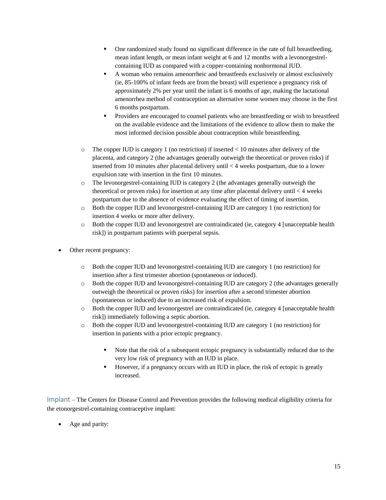- One randomized study found no significant difference in the rate of full breastfeeding, mean infant length, or mean infant weight at 6 and 12 months with a levonorgestrelcontaining IUD as compared with a copper-containing nonhormonal IUD.
- A woman who remains amenorrheic and breastfeeds exclusively or almost exclusively (ie, 85-100% of infant feeds are from the breast) will experience a pregnancy risk of approximately 2% per year until the infant is 6 months of age, making the lactational amenorrhea method of contraception an alternative some women may choose in the first 6 months postpartum.
- Providers are encouraged to counsel patients who are breastfeeding or wish to breastfeed on the available evidence and the limitations of the evidence to allow them to make the most informed decision possible about contraception while breastfeeding.
- $\circ$  The copper IUD is category 1 (no restriction) if inserted < 10 minutes after delivery of the placenta, and category 2 (the advantages generally outweigh the theoretical or proven risks) if inserted from 10 minutes after placental delivery until < 4 weeks postpartum, due to a lower expulsion rate with insertion in the first 10 minutes.
- o The levonorgestrel-containing IUD is category 2 (the advantages generally outweigh the theoretical or proven risks) for insertion at any time after placental delivery until < 4 weeks postpartum due to the absence of evidence evaluating the effect of timing of insertion.
- o Both the copper IUD and levonorgestrel-containing IUD are category 1 (no restriction) for insertion 4 weeks or more after delivery.
- o Both the copper IUD and levonorgestrel are contraindicated (ie, category 4 [unacceptable health risk]) in postpartum patients with puerperal sepsis.
- Other recent pregnancy:
	- o Both the copper IUD and levonorgestrel-containing IUD are category 1 (no restriction) for insertion after a first trimester abortion (spontaneous or induced).
	- o Both the copper IUD and levonorgestrel-containing IUD are category 2 (the advantages generally outweigh the theoretical or proven risks) for insertion after a second trimester abortion (spontaneous or induced) due to an increased risk of expulsion.
	- o Both the copper IUD and levonorgestrel are contraindicated (ie, category 4 [unacceptable health risk]) immediately following a septic abortion.
	- o Both the copper IUD and levonorgestrel-containing IUD are category 1 (no restriction) for insertion in patients with a prior ectopic pregnancy.
		- Note that the risk of a subsequent ectopic pregnancy is substantially reduced due to the very low risk of pregnancy with an IUD in place.
		- However, if a pregnancy occurs with an IUD in place, the risk of ectopic is greatly increased.

<span id="page-14-0"></span>Implant – The Centers for Disease Control and Prevention provides the following medical eligibility criteria for the etonorgestrel-containing contraceptive implant:

Age and parity: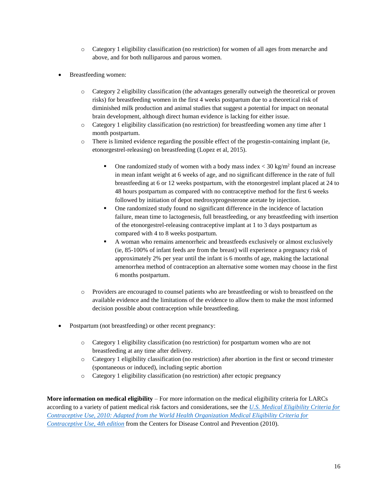- o Category 1 eligibility classification (no restriction) for women of all ages from menarche and above, and for both nulliparous and parous women.
- Breastfeeding women:
	- o Category 2 eligibility classification (the advantages generally outweigh the theoretical or proven risks) for breastfeeding women in the first 4 weeks postpartum due to a theoretical risk of diminished milk production and animal studies that suggest a potential for impact on neonatal brain development, although direct human evidence is lacking for either issue.
	- o Category 1 eligibility classification (no restriction) for breastfeeding women any time after 1 month postpartum.
	- o There is limited evidence regarding the possible effect of the progestin-containing implant (ie, etonorgestrel-releasing) on breastfeeding (Lopez et al, 2015).
		- One randomized study of women with a body mass index  $<$  30 kg/m<sup>2</sup> found an increase in mean infant weight at 6 weeks of age, and no significant difference in the rate of full breastfeeding at 6 or 12 weeks postpartum, with the etonorgestrel implant placed at 24 to 48 hours postpartum as compared with no contraceptive method for the first 6 weeks followed by initiation of depot medroxyprogesterone acetate by injection.
		- One randomized study found no significant difference in the incidence of lactation failure, mean time to lactogenesis, full breastfeeding, or any breastfeeding with insertion of the etonorgestrel-releasing contraceptive implant at 1 to 3 days postpartum as compared with 4 to 8 weeks postpartum.
		- A woman who remains amenorrheic and breastfeeds exclusively or almost exclusively (ie, 85-100% of infant feeds are from the breast) will experience a pregnancy risk of approximately 2% per year until the infant is 6 months of age, making the lactational amenorrhea method of contraception an alternative some women may choose in the first 6 months postpartum.
	- o Providers are encouraged to counsel patients who are breastfeeding or wish to breastfeed on the available evidence and the limitations of the evidence to allow them to make the most informed decision possible about contraception while breastfeeding.
- Postpartum (not breastfeeding) or other recent pregnancy:
	- o Category 1 eligibility classification (no restriction) for postpartum women who are not breastfeeding at any time after delivery.
	- o Category 1 eligibility classification (no restriction) after abortion in the first or second trimester (spontaneous or induced), including septic abortion
	- o Category 1 eligibility classification (no restriction) after ectopic pregnancy

**More information on medical eligibility** – For more information on the medical eligibility criteria for LARCs according to a variety of patient medical risk factors and considerations, see the *[U.S. Medical Eligibility Criteria for](http://www.cdc.gov/mmwr/preview/mmwrhtml/rr5904a1.htm?s_cid=rr5904a1_e)  [Contraceptive Use, 2010: Adapted from the World Health Organization Medical Eligibility Criteria for](http://www.cdc.gov/mmwr/preview/mmwrhtml/rr5904a1.htm?s_cid=rr5904a1_e)  [Contraceptive Use, 4th edition](http://www.cdc.gov/mmwr/preview/mmwrhtml/rr5904a1.htm?s_cid=rr5904a1_e)* from the Centers for Disease Control and Prevention (2010).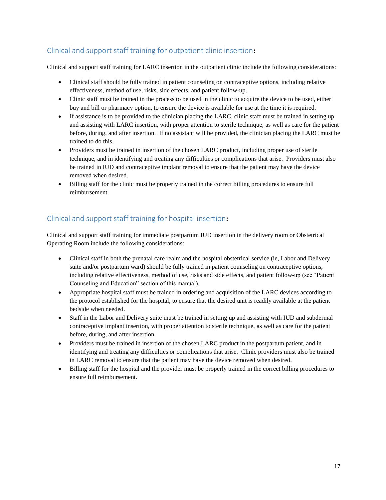## <span id="page-16-0"></span>Clinical and support staff training for outpatient clinic insertion**:**

Clinical and support staff training for LARC insertion in the outpatient clinic include the following considerations:

- Clinical staff should be fully trained in patient counseling on contraceptive options, including relative effectiveness, method of use, risks, side effects, and patient follow-up.
- Clinic staff must be trained in the process to be used in the clinic to acquire the device to be used, either buy and bill or pharmacy option, to ensure the device is available for use at the time it is required.
- If assistance is to be provided to the clinician placing the LARC, clinic staff must be trained in setting up and assisting with LARC insertion, with proper attention to sterile technique, as well as care for the patient before, during, and after insertion. If no assistant will be provided, the clinician placing the LARC must be trained to do this.
- Providers must be trained in insertion of the chosen LARC product, including proper use of sterile technique, and in identifying and treating any difficulties or complications that arise. Providers must also be trained in IUD and contraceptive implant removal to ensure that the patient may have the device removed when desired.
- Billing staff for the clinic must be properly trained in the correct billing procedures to ensure full reimbursement.

## <span id="page-16-1"></span>Clinical and support staff training for hospital insertion**:**

Clinical and support staff training for immediate postpartum IUD insertion in the delivery room or Obstetrical Operating Room include the following considerations:

- Clinical staff in both the prenatal care realm and the hospital obstetrical service (ie, Labor and Delivery suite and/or postpartum ward) should be fully trained in patient counseling on contraceptive options, including relative effectiveness, method of use, risks and side effects, and patient follow-up (see "Patient Counseling and Education" section of this manual).
- Appropriate hospital staff must be trained in ordering and acquisition of the LARC devices according to the protocol established for the hospital, to ensure that the desired unit is readily available at the patient bedside when needed.
- Staff in the Labor and Delivery suite must be trained in setting up and assisting with IUD and subdermal contraceptive implant insertion, with proper attention to sterile technique, as well as care for the patient before, during, and after insertion.
- Providers must be trained in insertion of the chosen LARC product in the postpartum patient, and in identifying and treating any difficulties or complications that arise. Clinic providers must also be trained in LARC removal to ensure that the patient may have the device removed when desired.
- Billing staff for the hospital and the provider must be properly trained in the correct billing procedures to ensure full reimbursement.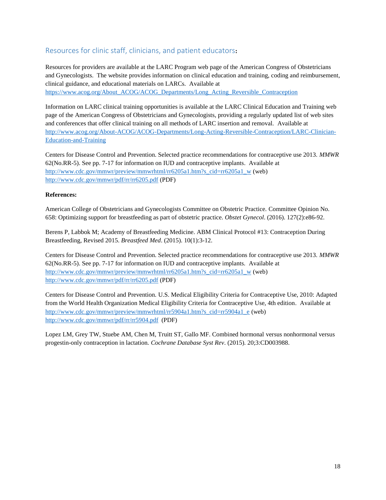## <span id="page-17-0"></span>Resources for clinic staff, clinicians, and patient educators**:**

Resources for providers are available at the LARC Program web page of the American Congress of Obstetricians and Gynecologists. The website provides information on clinical education and training, coding and reimbursement, clinical guidance, and educational materials on LARCs. Available at [https://www.acog.org/About\\_ACOG/ACOG\\_Departments/Long\\_Acting\\_Reversible\\_Contraception](https://www.acog.org/About_ACOG/ACOG_Departments/Long_Acting_Reversible_Contraception)

Information on LARC clinical training opportunities is available at the LARC Clinical Education and Training web page of the American Congress of Obstetricians and Gynecologists, providing a regularly updated list of web sites and conferences that offer clinical training on all methods of LARC insertion and removal. Available at [http://www.acog.org/About-ACOG/ACOG-Departments/Long-Acting-Reversible-Contraception/LARC-Clinician-](http://www.acog.org/About-ACOG/ACOG-Departments/Long-Acting-Reversible-Contraception/LARC-Clinician-Education-and-Training)[Education-and-Training](http://www.acog.org/About-ACOG/ACOG-Departments/Long-Acting-Reversible-Contraception/LARC-Clinician-Education-and-Training)

Centers for Disease Control and Prevention. Selected practice recommendations for contraceptive use 2013. *MMWR* 62(No.RR-5). See pp. 7-17 for information on IUD and contraceptive implants. Available at [http://www.cdc.gov/mmwr/preview/mmwrhtml/rr6205a1.htm?s\\_cid=rr6205a1\\_w](http://www.cdc.gov/mmwr/preview/mmwrhtml/rr6205a1.htm?s_cid=rr6205a1_w) (web) <http://www.cdc.gov/mmwr/pdf/rr/rr6205.pdf> (PDF)

### **References:**

American College of Obstetricians and Gynecologists Committee on Obstetric Practice. Committee Opinion No. 658: Optimizing support for breastfeeding as part of obstetric practice. *Obstet Gynecol*. (2016). 127(2):e86-92.

Berens P, Labbok M; Academy of Breastfeeding Medicine. ABM Clinical Protocol #13: Contraception During Breastfeeding, Revised 2015. *Breastfeed Med*. (2015). 10(1):3-12.

Centers for Disease Control and Prevention. Selected practice recommendations for contraceptive use 2013. *MMWR* 62(No.RR-5). See pp. 7-17 for information on IUD and contraceptive implants. Available at [http://www.cdc.gov/mmwr/preview/mmwrhtml/rr6205a1.htm?s\\_cid=rr6205a1\\_w](http://www.cdc.gov/mmwr/preview/mmwrhtml/rr6205a1.htm?s_cid=rr6205a1_w) (web) <http://www.cdc.gov/mmwr/pdf/rr/rr6205.pdf> (PDF)

Centers for Disease Control and Prevention. U.S. Medical Eligibility Criteria for Contraceptive Use, 2010: Adapted from the World Health Organization Medical Eligibility Criteria for Contraceptive Use, 4th edition. Available at [http://www.cdc.gov/mmwr/preview/mmwrhtml/rr5904a1.htm?s\\_cid=rr5904a1\\_e](http://www.cdc.gov/mmwr/preview/mmwrhtml/rr5904a1.htm?s_cid=rr5904a1_e) (web) <http://www.cdc.gov/mmwr/pdf/rr/rr5904.pdf>(PDF)

Lopez LM, Grey TW, Stuebe AM, Chen M, Truitt ST, Gallo MF. Combined hormonal versus nonhormonal versus progestin-only contraception in lactation. *Cochrane Database Syst Rev*. (2015). 20;3:CD003988.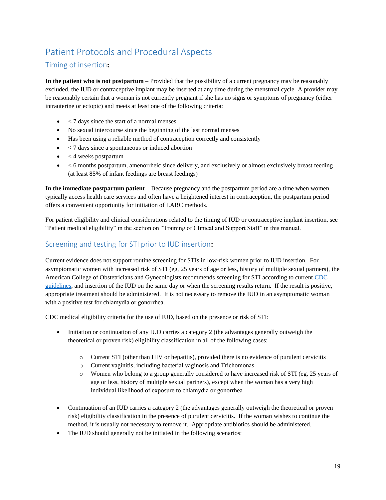## <span id="page-18-0"></span>Patient Protocols and Procedural Aspects

## <span id="page-18-1"></span>Timing of insertion**:**

**In the patient who is not postpartum** – Provided that the possibility of a current pregnancy may be reasonably excluded, the IUD or contraceptive implant may be inserted at any time during the menstrual cycle. A provider may be reasonably certain that a woman is not currently pregnant if she has no signs or symptoms of pregnancy (either intrauterine or ectopic) and meets at least one of the following criteria:

- $\bullet$  < 7 days since the start of a normal menses
- No sexual intercourse since the beginning of the last normal menses
- Has been using a reliable method of contraception correctly and consistently
- $\bullet$  < 7 days since a spontaneous or induced abortion
- $\bullet \quad$  < 4 weeks postpartum
- < 6 months postpartum, amenorrheic since delivery, and exclusively or almost exclusively breast feeding (at least 85% of infant feedings are breast feedings)

**In the immediate postpartum patient** – Because pregnancy and the postpartum period are a time when women typically access health care services and often have a heightened interest in contraception, the postpartum period offers a convenient opportunity for initiation of LARC methods.

For patient eligibility and clinical considerations related to the timing of IUD or contraceptive implant insertion, see "Patient medical eligibility" in the section on "Training of Clinical and Support Staff" in this manual.

## <span id="page-18-2"></span>Screening and testing for STI prior to IUD insertion**:**

Current evidence does not support routine screening for STIs in low-risk women prior to IUD insertion. For asymptomatic women with increased risk of STI (eg, 25 years of age or less, history of multiple sexual partners), the American College of Obstetricians and Gynecologists recommends screening for STI according to current [CDC](http://www.cdc.gov/std/treatment/default.htm)  [guidelines,](http://www.cdc.gov/std/treatment/default.htm) and insertion of the IUD on the same day or when the screening results return. If the result is positive, appropriate treatment should be administered. It is not necessary to remove the IUD in an asymptomatic woman with a positive test for chlamydia or gonorrhea.

CDC medical eligibility criteria for the use of IUD, based on the presence or risk of STI:

- Initiation or continuation of any IUD carries a category 2 (the advantages generally outweigh the theoretical or proven risk) eligibility classification in all of the following cases:
	- o Current STI (other than HIV or hepatitis), provided there is no evidence of purulent cervicitis
	- o Current vaginitis, including bacterial vaginosis and Trichomonas
	- o Women who belong to a group generally considered to have increased risk of STI (eg, 25 years of age or less, history of multiple sexual partners), except when the woman has a very high individual likelihood of exposure to chlamydia or gonorrhea
- Continuation of an IUD carries a category 2 (the advantages generally outweigh the theoretical or proven risk) eligibility classification in the presence of purulent cervicitis. If the woman wishes to continue the method, it is usually not necessary to remove it. Appropriate antibiotics should be administered.
- The IUD should generally not be initiated in the following scenarios: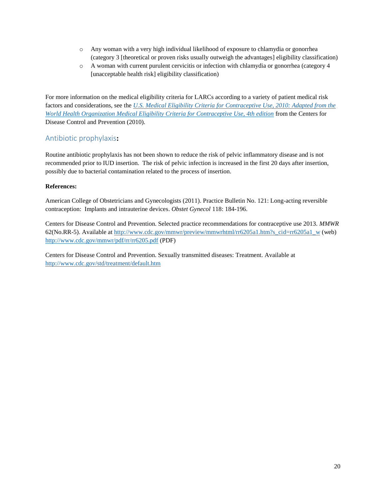- o Any woman with a very high individual likelihood of exposure to chlamydia or gonorrhea (category 3 [theoretical or proven risks usually outweigh the advantages] eligibility classification)
- o A woman with current purulent cervicitis or infection with chlamydia or gonorrhea (category 4 [unacceptable health risk] eligibility classification]

For more information on the medical eligibility criteria for LARCs according to a variety of patient medical risk factors and considerations, see the *[U.S. Medical Eligibility Criteria for Contraceptive Use, 2010: Adapted from the](http://www.cdc.gov/mmwr/preview/mmwrhtml/rr5904a1.htm?s_cid=rr5904a1_e)  [World Health Organization Medical Eligibility Criteria for Contraceptive Use, 4th edition](http://www.cdc.gov/mmwr/preview/mmwrhtml/rr5904a1.htm?s_cid=rr5904a1_e)* from the Centers for Disease Control and Prevention (2010).

## <span id="page-19-0"></span>Antibiotic prophylaxis**:**

Routine antibiotic prophylaxis has not been shown to reduce the risk of pelvic inflammatory disease and is not recommended prior to IUD insertion. The risk of pelvic infection is increased in the first 20 days after insertion, possibly due to bacterial contamination related to the process of insertion.

### **References:**

American College of Obstetricians and Gynecologists (2011). Practice Bulletin No. 121: Long-acting reversible contraception: Implants and intrauterine devices. *Obstet Gynecol* 118: 184-196.

Centers for Disease Control and Prevention. Selected practice recommendations for contraceptive use 2013. *MMWR* 62(No.RR-5). Available at [http://www.cdc.gov/mmwr/preview/mmwrhtml/rr6205a1.htm?s\\_cid=rr6205a1\\_w](http://www.cdc.gov/mmwr/preview/mmwrhtml/rr6205a1.htm?s_cid=rr6205a1_w) (web) <http://www.cdc.gov/mmwr/pdf/rr/rr6205.pdf> (PDF)

Centers for Disease Control and Prevention. Sexually transmitted diseases: Treatment. Available at <http://www.cdc.gov/std/treatment/default.htm>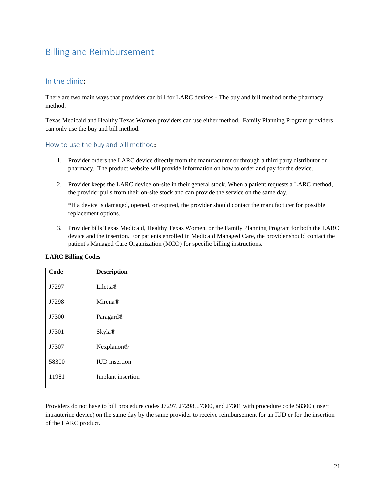## <span id="page-20-0"></span>Billing and Reimbursement

## <span id="page-20-1"></span>In the clinic**:**

There are two main ways that providers can bill for LARC devices - The buy and bill method or the pharmacy method.

Texas Medicaid and Healthy Texas Women providers can use either method. Family Planning Program providers can only use the buy and bill method.

#### <span id="page-20-2"></span>How to use the buy and bill method**:**

- 1. Provider orders the LARC device directly from the manufacturer or through a third party distributor or pharmacy. The product website will provide information on how to order and pay for the device.
- 2. Provider keeps the LARC device on-site in their general stock. When a patient requests a LARC method, the provider pulls from their on-site stock and can provide the service on the same day.

\*If a device is damaged, opened, or expired, the provider should contact the manufacturer for possible replacement options.

3. Provider bills Texas Medicaid, Healthy Texas Women, or the Family Planning Program for both the LARC device and the insertion. For patients enrolled in Medicaid Managed Care, the provider should contact the patient's Managed Care Organization (MCO) for specific billing instructions.

| Code  | <b>Description</b>    |
|-------|-----------------------|
| J7297 | Liletta®              |
| J7298 | <b>Mirena®</b>        |
| J7300 | Paragard <sup>®</sup> |
| J7301 | <b>Skyla®</b>         |
| J7307 | Nexplanon®            |
| 58300 | <b>IUD</b> insertion  |
| 11981 | Implant insertion     |

#### **LARC Billing Codes**

Providers do not have to bill procedure codes J7297, J7298, J7300, and J7301 with procedure code 58300 (insert intrauterine device) on the same day by the same provider to receive reimbursement for an IUD or for the insertion of the LARC product.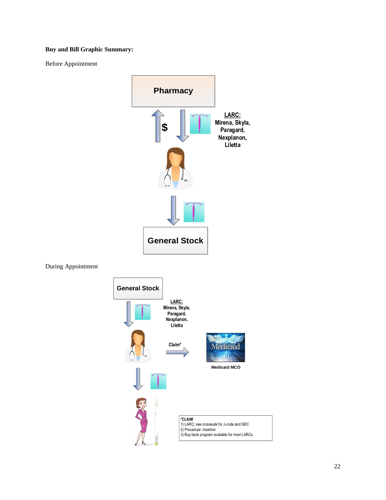## **Buy and Bill Graphic Summary:**

Before Appointment



During Appointment

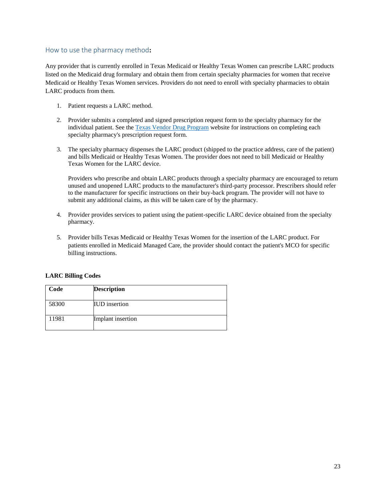### <span id="page-22-0"></span>How to use the pharmacy method**:**

Any provider that is currently enrolled in Texas Medicaid or Healthy Texas Women can prescribe LARC products listed on the Medicaid drug formulary and obtain them from certain specialty pharmacies for women that receive Medicaid or Healthy Texas Women services. Providers do not need to enroll with specialty pharmacies to obtain LARC products from them.

- 1. Patient requests a LARC method.
- 2. Provider submits a completed and signed prescription request form to the specialty pharmacy for the individual patient. See the [Texas Vendor Drug Program](http://www.txvendordrug.com/formulary/larc.shtml) website for instructions on completing each specialty pharmacy's prescription request form.
- 3. The specialty pharmacy dispenses the LARC product (shipped to the practice address, care of the patient) and bills Medicaid or Healthy Texas Women. The provider does not need to bill Medicaid or Healthy Texas Women for the LARC device.

Providers who prescribe and obtain LARC products through a specialty pharmacy are encouraged to return unused and unopened LARC products to the manufacturer's third-party processor. Prescribers should refer to the manufacturer for specific instructions on their buy-back program. The provider will not have to submit any additional claims, as this will be taken care of by the pharmacy.

- 4. Provider provides services to patient using the patient-specific LARC device obtained from the specialty pharmacy.
- 5. Provider bills Texas Medicaid or Healthy Texas Women for the insertion of the LARC product. For patients enrolled in Medicaid Managed Care, the provider should contact the patient's MCO for specific billing instructions.

#### **LARC Billing Codes**

| Code  | <b>Description</b>   |
|-------|----------------------|
| 58300 | <b>IUD</b> insertion |
| 11981 | Implant insertion    |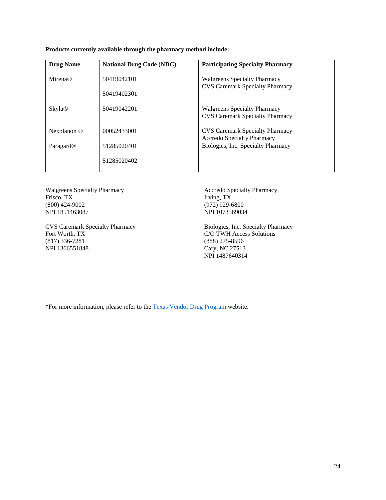**Products currently available through the pharmacy method include:**

| <b>Drug Name</b>      | <b>National Drug Code (NDC)</b> | <b>Participating Specialty Pharmacy</b>                                       |
|-----------------------|---------------------------------|-------------------------------------------------------------------------------|
| Mirena®               | 50419042101                     | <b>Walgreens Specialty Pharmacy</b><br><b>CVS Caremark Specialty Pharmacy</b> |
|                       | 50419402301                     |                                                                               |
| <b>Skyla®</b>         | 50419042201                     | <b>Walgreens Specialty Pharmacy</b><br><b>CVS Caremark Specialty Pharmacy</b> |
| Nexplanon ®           | 00052433001                     | <b>CVS Caremark Specialty Pharmacy</b><br><b>Accredo Specialty Pharmacy</b>   |
| Paragard <sup>®</sup> | 51285020401                     | Biologics, Inc. Specialty Pharmacy                                            |
|                       | 51285020402                     |                                                                               |

Walgreens Specialty Pharmacy Frisco, TX (800) 424-9002 NPI 1851463087

CVS Caremark Specialty Pharmacy Fort Worth, TX (817) 336-7281 NPI 1366551848

Accredo Specialty Pharmacy Irving, TX (972) 929-6800 NPI 1073569034

Biologics, Inc. Specialty Pharmacy C/O TWH Access Solutions (888) 275-8596 Cary, NC 27513 NPI 1487640314

\*For more information, please refer to th[e Texas Vendor Drug Program](http://www.txvendordrug.com/formulary/larc.shtml) website.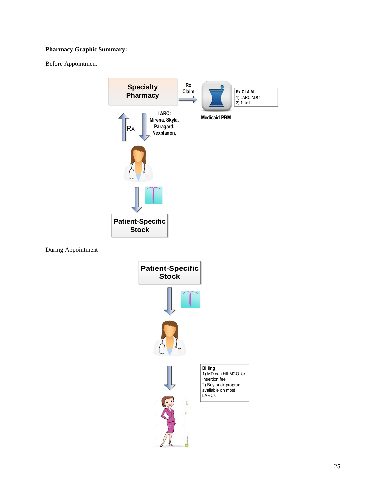#### **Pharmacy Graphic Summary:**

Before Appointment



During Appointment



**Billing** 1) MD can bill MCO for Insertion fee 2) Buy back program available on most **LARCs**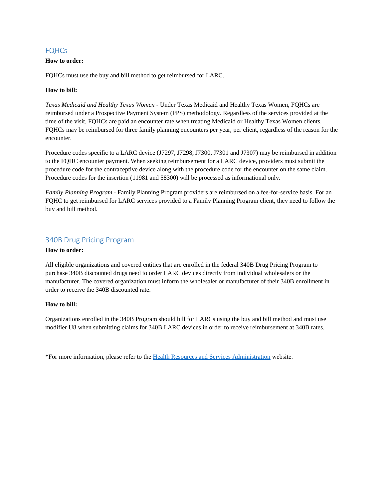### <span id="page-25-0"></span>FQHCs

#### **How to order:**

FQHCs must use the buy and bill method to get reimbursed for LARC.

#### **How to bill:**

*Texas Medicaid and Healthy Texas Women* - Under Texas Medicaid and Healthy Texas Women, FQHCs are reimbursed under a Prospective Payment System (PPS) methodology. Regardless of the services provided at the time of the visit, FQHCs are paid an encounter rate when treating Medicaid or Healthy Texas Women clients. FQHCs may be reimbursed for three family planning encounters per year, per client, regardless of the reason for the encounter.

Procedure codes specific to a LARC device (J7297, J7298, J7300, J7301 and J7307) may be reimbursed in addition to the FQHC encounter payment. When seeking reimbursement for a LARC device, providers must submit the procedure code for the contraceptive device along with the procedure code for the encounter on the same claim. Procedure codes for the insertion (11981 and 58300) will be processed as informational only.

*Family Planning Program* - Family Planning Program providers are reimbursed on a fee-for-service basis. For an FQHC to get reimbursed for LARC services provided to a Family Planning Program client, they need to follow the buy and bill method.

### <span id="page-25-1"></span>340B Drug Pricing Program

#### **How to order:**

All eligible organizations and covered entities that are enrolled in the federal 340B Drug Pricing Program to purchase 340B discounted drugs need to order LARC devices directly from individual wholesalers or the manufacturer. The covered organization must inform the wholesaler or manufacturer of their 340B enrollment in order to receive the 340B discounted rate.

#### **How to bill:**

Organizations enrolled in the 340B Program should bill for LARCs using the buy and bill method and must use modifier U8 when submitting claims for 340B LARC devices in order to receive reimbursement at 340B rates.

\*For more information, please refer to th[e Health Resources and Services Administration](http://www.hrsa.gov/opa/) website.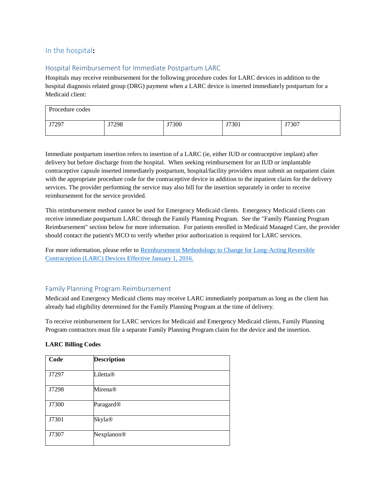## <span id="page-26-0"></span>In the hospital**:**

### <span id="page-26-1"></span>Hospital Reimbursement for Immediate Postpartum LARC

Hospitals may receive reimbursement for the following procedure codes for LARC devices in addition to the hospital diagnosis related group (DRG) payment when a LARC device is inserted immediately postpartum for a Medicaid client:

| Procedure codes |       |       |       |       |
|-----------------|-------|-------|-------|-------|
| J7297           | J7298 | J7300 | J7301 | J7307 |

Immediate postpartum insertion refers to insertion of a LARC (ie, either IUD or contraceptive implant) after delivery but before discharge from the hospital. When seeking reimbursement for an IUD or implantable contraceptive capsule inserted immediately postpartum, hospital/facility providers must submit an outpatient claim with the appropriate procedure code for the contraceptive device in addition to the inpatient claim for the delivery services. The provider performing the service may also bill for the insertion separately in order to receive reimbursement for the service provided.

This reimbursement method cannot be used for Emergency Medicaid clients. Emergency Medicaid clients can receive immediate postpartum LARC through the Family Planning Program. See the "Family Planning Program Reimbursement" section below for more information. For patients enrolled in Medicaid Managed Care, the provider should contact the patient's MCO to verify whether prior authorization is required for LARC services.

For more information, please refer to [Reimbursement Methodology to Change for Long-Acting Reversible](http://www.tmhp.com/News_Items/2015/12-Dec/12-31-15%20Reimbursement%20Methodology%20to%20Change%20for%20LARC%20Devices%20Effective%20January%201,%202016.pdf)  [Contraception \(LARC\) Devices Effective January 1, 2016.](http://www.tmhp.com/News_Items/2015/12-Dec/12-31-15%20Reimbursement%20Methodology%20to%20Change%20for%20LARC%20Devices%20Effective%20January%201,%202016.pdf)

### <span id="page-26-2"></span>Family Planning Program Reimbursement

Medicaid and Emergency Medicaid clients may receive LARC immediately postpartum as long as the client has already had eligibility determined for the Family Planning Program at the time of delivery.

To receive reimbursement for LARC services for Medicaid and Emergency Medicaid clients, Family Planning Program contractors must file a separate Family Planning Program claim for the device and the insertion.

#### **LARC Billing Codes**

| Code  | <b>Description</b>    |
|-------|-----------------------|
|       |                       |
| J7297 | Liletta®              |
|       |                       |
| J7298 | Mirena®               |
| J7300 | Paragard <sup>®</sup> |
|       |                       |
| J7301 | <b>Skyla®</b>         |
|       |                       |
| J7307 | Nexplanon®            |
|       |                       |